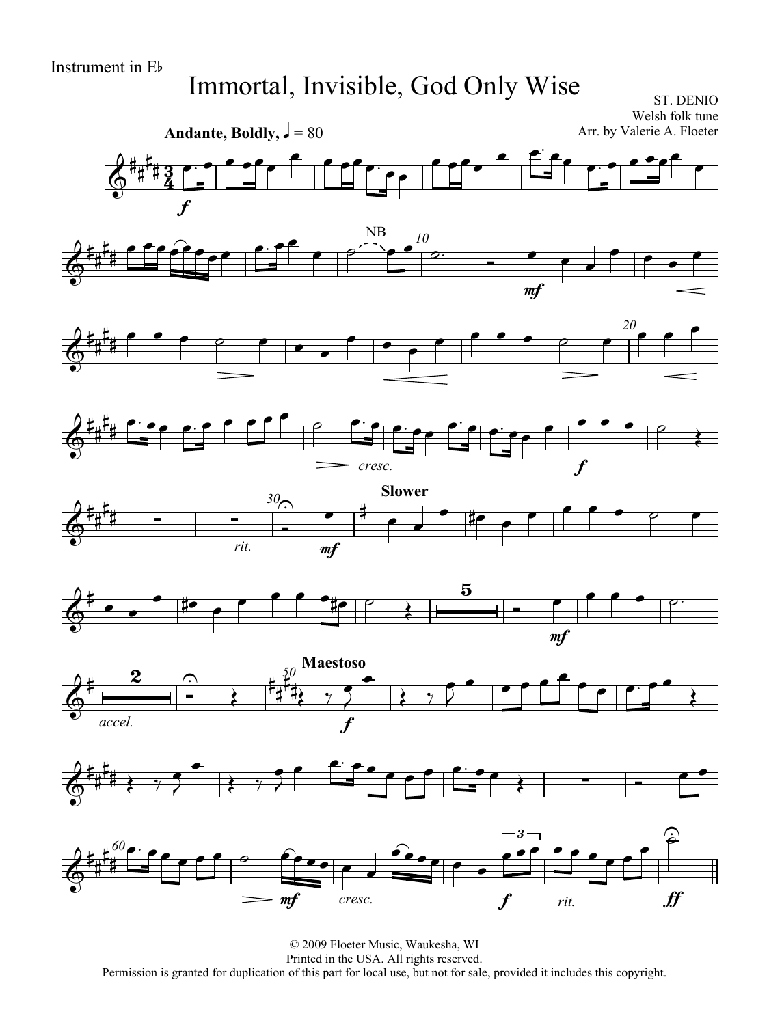## Immortal, Invisible, God Only Wise

ST. DENIO Welsh folk tune Arr. by Valerie A. Floeter









*<sup>30</sup>* **Slower**  $\frac{\partial}{\partial \theta}$  $\frac{1}{4}$ H<br>H *rit.* 1  $30<sub>5</sub>$ mf  $\bullet$   $\overset{\#}{\overbrace{\qquad \qquad }}$  $\bullet$   $\bullet$  $\bullet$   $\bullet$   $\bullet$   $\bullet$   $\bullet$ 









© 2009 Floeter Music, Waukesha, WI Printed in the USA. All rights reserved. Permission is granted for duplication of this part for local use, but not for sale, provided it includes this copyright.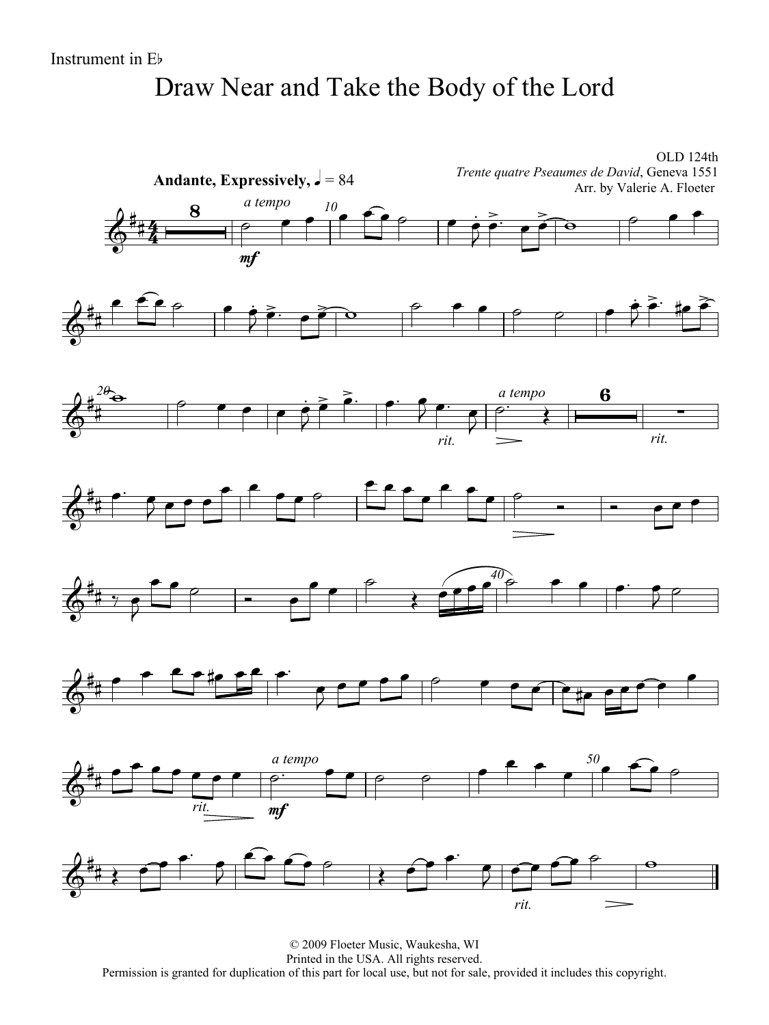## Draw Near and Take the Body of the Lord

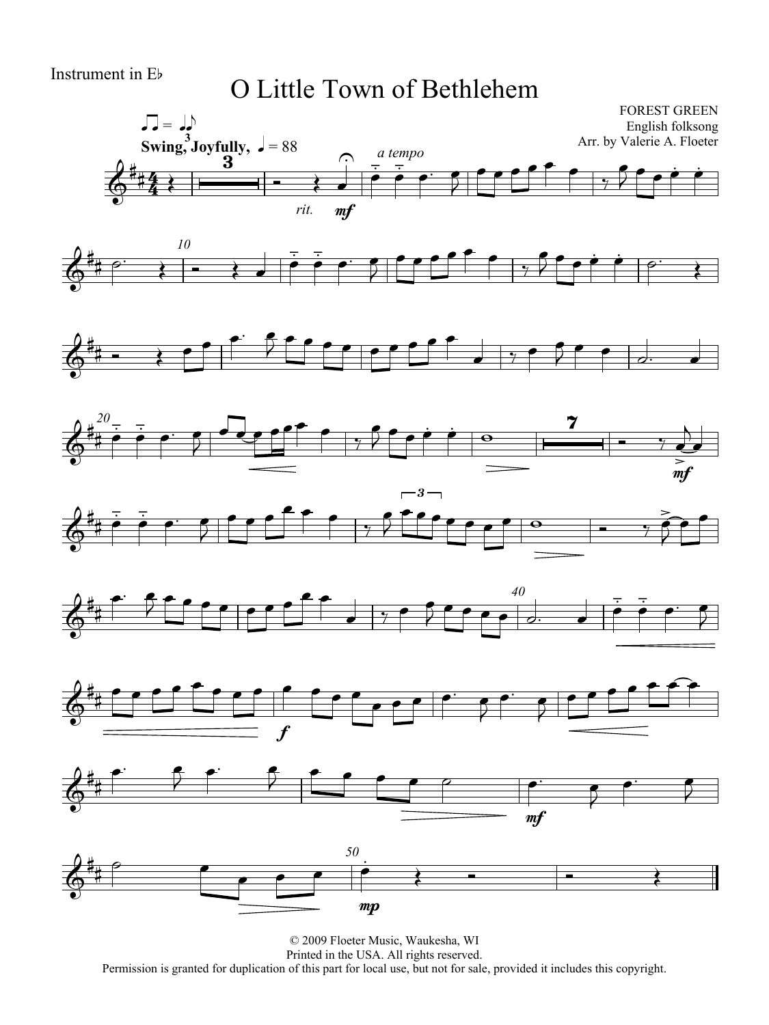#### Instrument in Eb

#### O Little Town of Bethlehem

















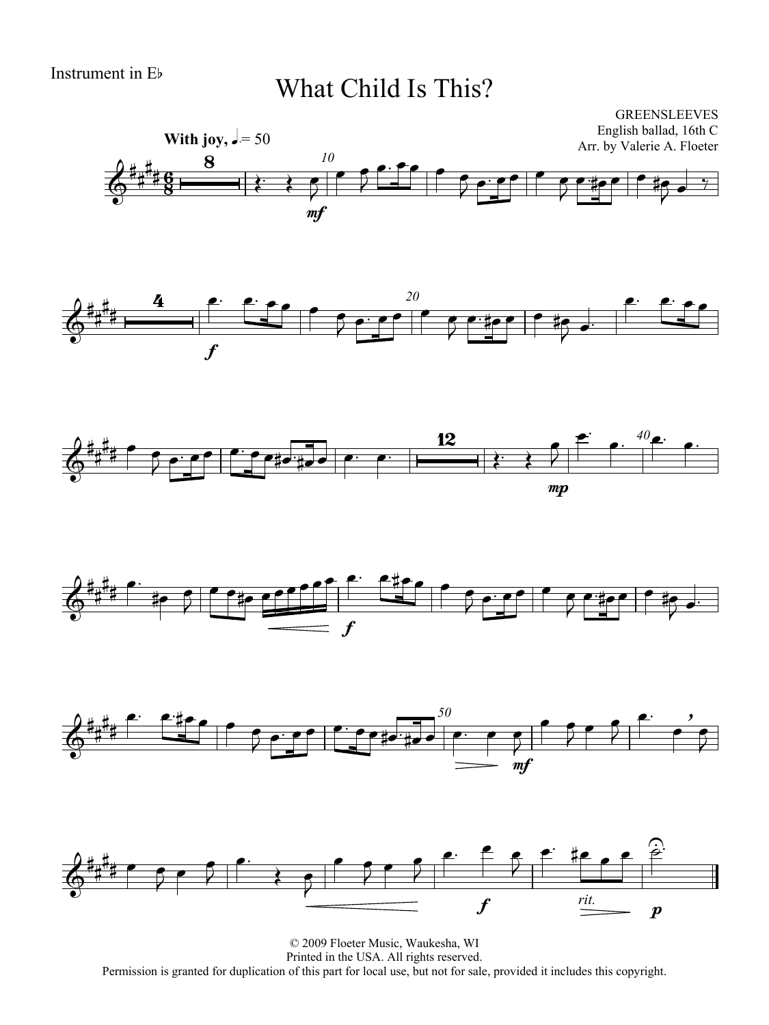### What Child Is This?













© 2009 Floeter Music, Waukesha, WI Printed in the USA. All rights reserved. Permission is granted for duplication of this part for local use, but not for sale, provided it includes this copyright.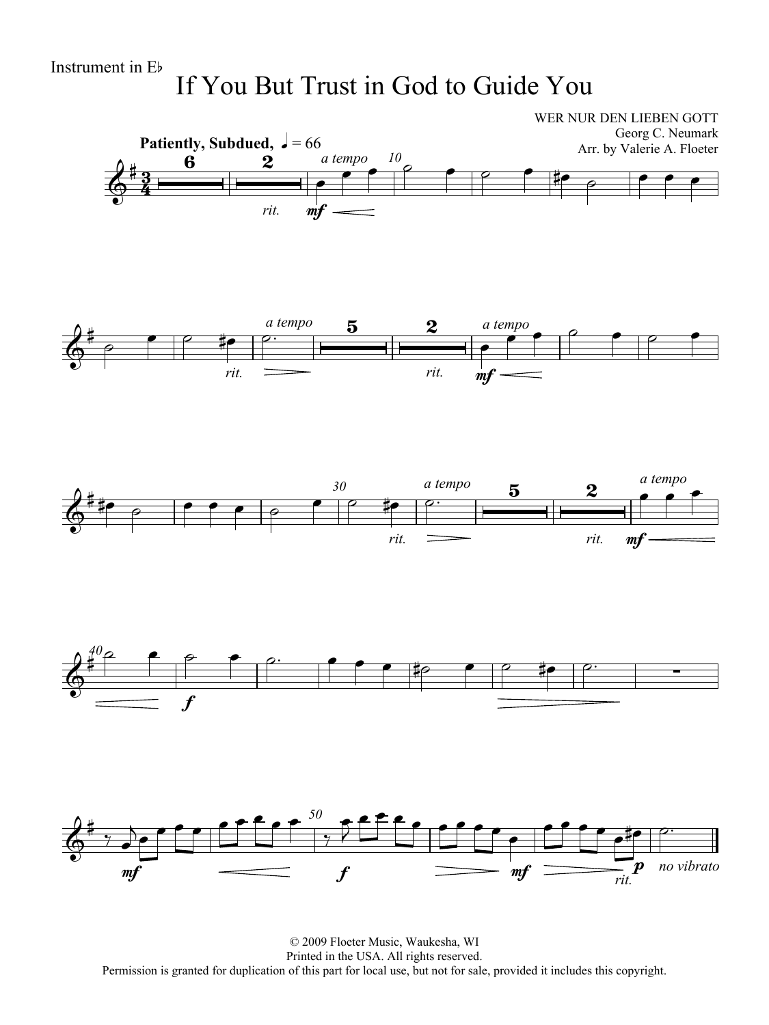If You But Trust in God to Guide You



© 2009 Floeter Music, Waukesha, WI Printed in the USA. All rights reserved. Permission is granted for duplication of this part for local use, but not for sale, provided it includes this copyright.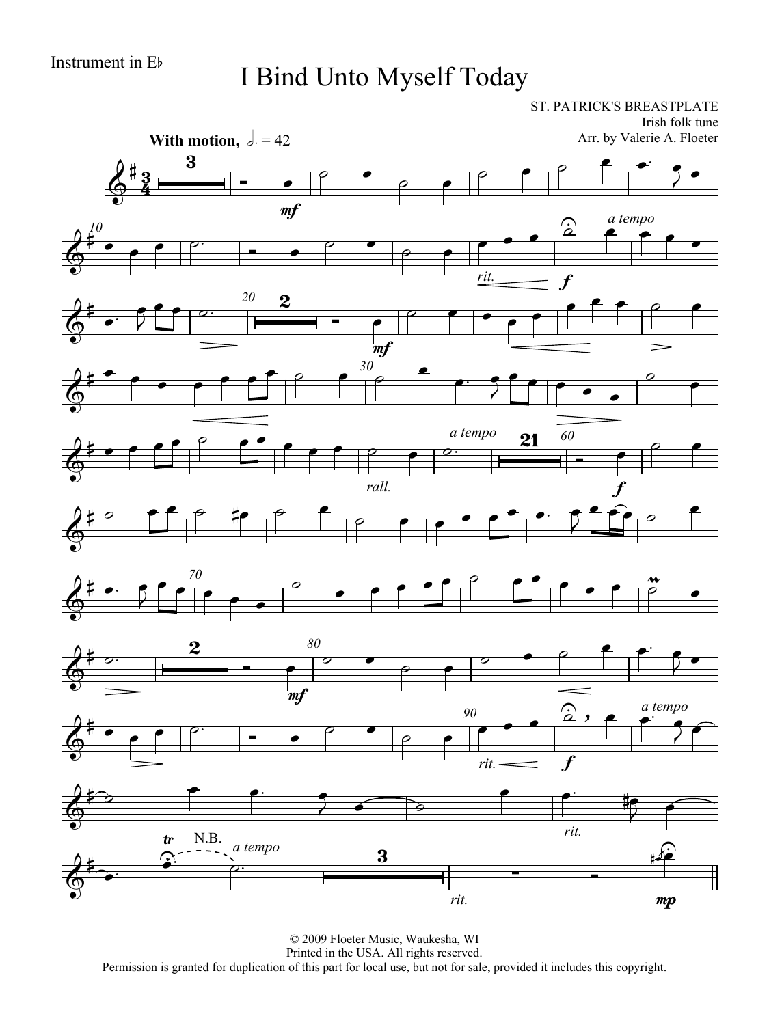### I Bind Unto Myself Today

ST. PATRICK'S BREASTPLATE Irish folk tune

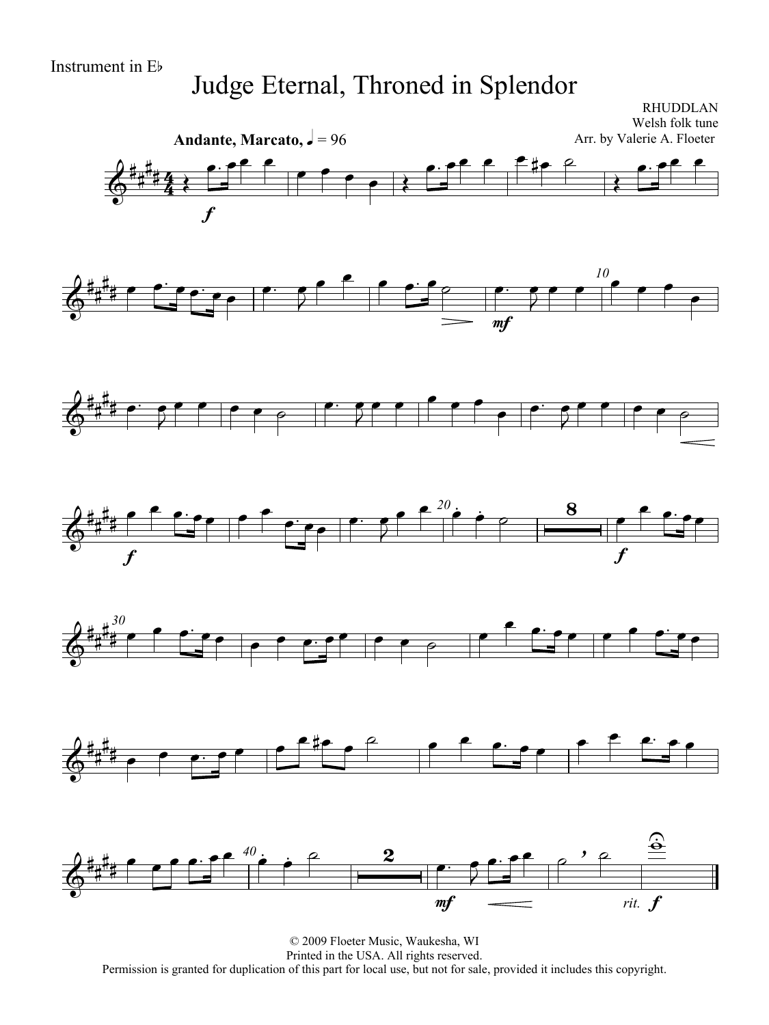### Judge Eternal, Throned in Splendor

RHUDDLAN Welsh folk tune

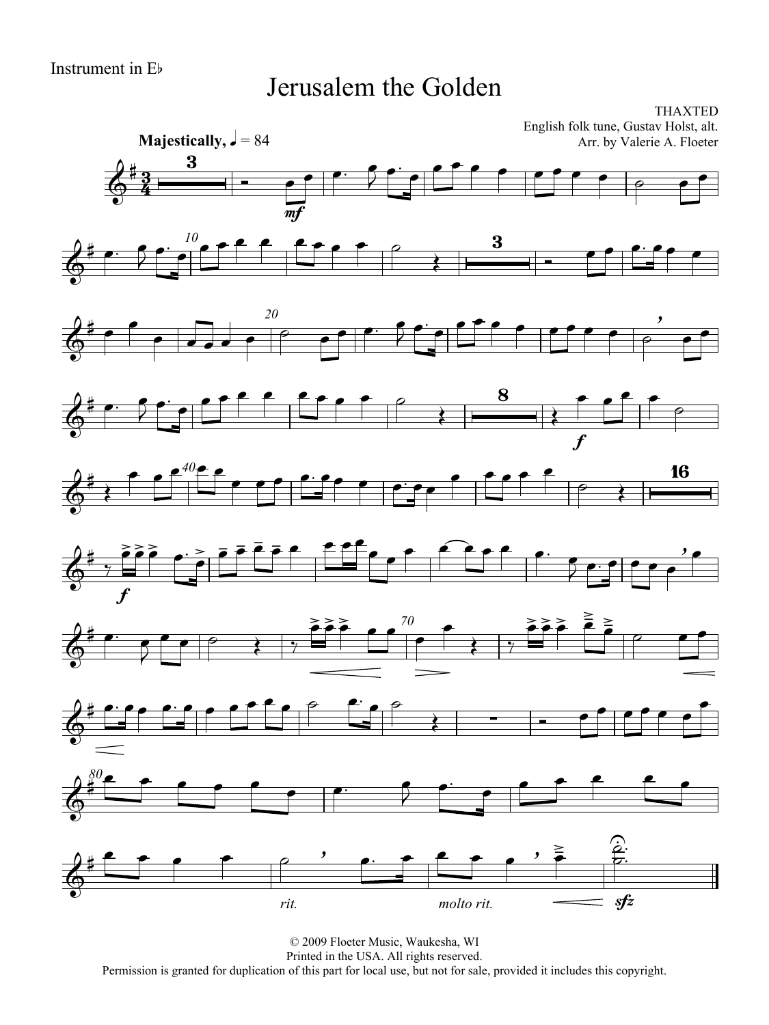#### Jerusalem the Golden



© 2009 Floeter Music, Waukesha, WI Printed in the USA. All rights reserved. Permission is granted for duplication of this part for local use, but not for sale, provided it includes this copyright.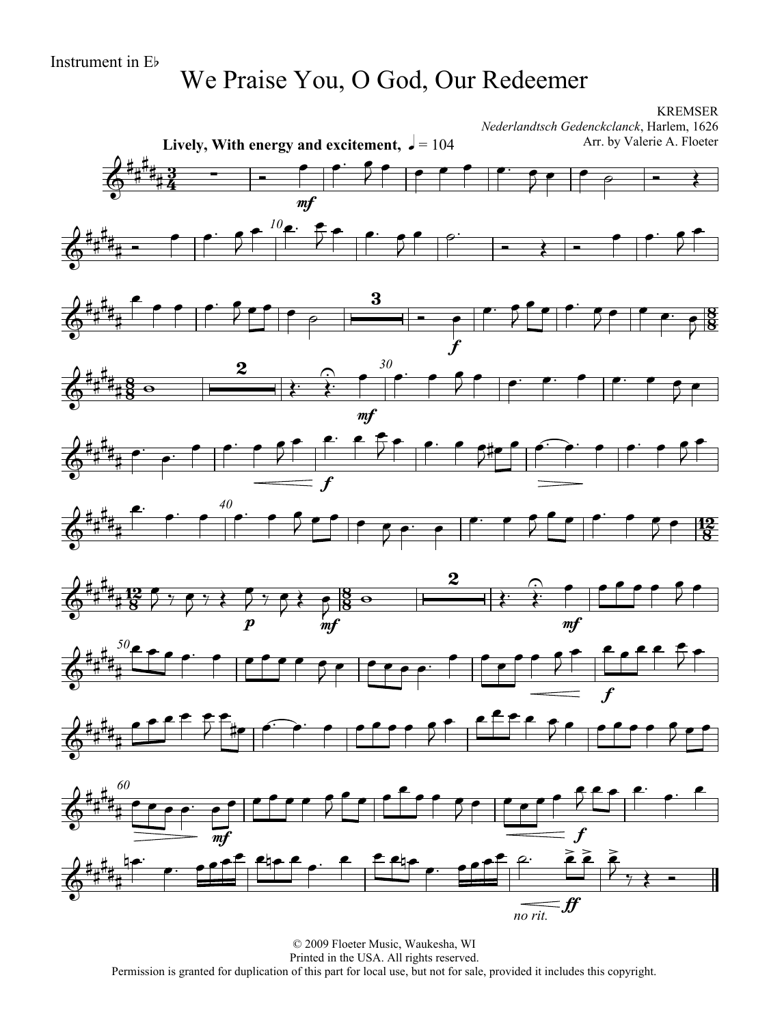# We Praise You, O God, Our Redeemer